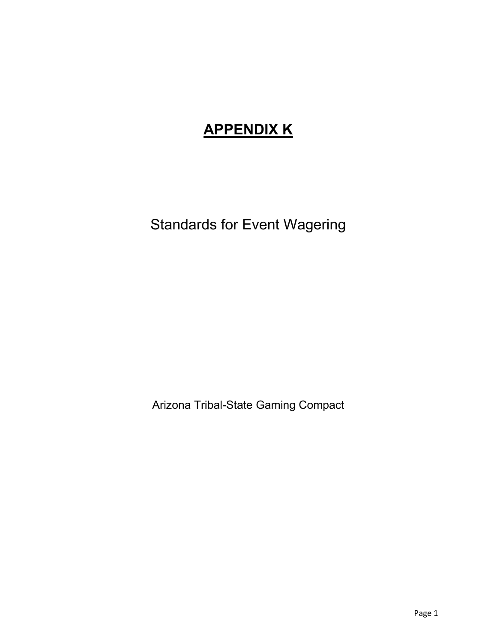# **APPENDIX K**

Standards for Event Wagering

Arizona Tribal-State Gaming Compact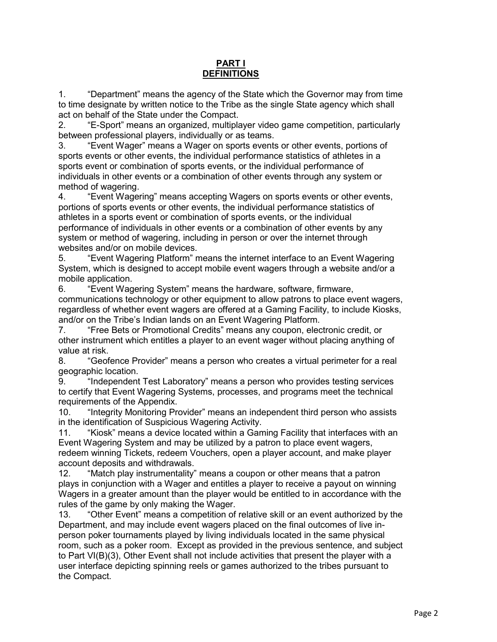#### **PART I DEFINITIONS**

1. "Department" means the agency of the State which the Governor may from time to time designate by written notice to the Tribe as the single State agency which shall act on behalf of the State under the Compact.

2. "E-Sport" means an organized, multiplayer video game competition, particularly between professional players, individually or as teams.

3. "Event Wager" means a Wager on sports events or other events, portions of sports events or other events, the individual performance statistics of athletes in a sports event or combination of sports events, or the individual performance of individuals in other events or a combination of other events through any system or method of wagering.

4. "Event Wagering" means accepting Wagers on sports events or other events, portions of sports events or other events, the individual performance statistics of athletes in a sports event or combination of sports events, or the individual performance of individuals in other events or a combination of other events by any system or method of wagering, including in person or over the internet through websites and/or on mobile devices.

5. "Event Wagering Platform" means the internet interface to an Event Wagering System, which is designed to accept mobile event wagers through a website and/or a mobile application.

6. "Event Wagering System" means the hardware, software, firmware, communications technology or other equipment to allow patrons to place event wagers, regardless of whether event wagers are offered at a Gaming Facility, to include Kiosks, and/or on the Tribe's Indian lands on an Event Wagering Platform.

7. "Free Bets or Promotional Credits" means any coupon, electronic credit, or other instrument which entitles a player to an event wager without placing anything of value at risk.

8. "Geofence Provider" means a person who creates a virtual perimeter for a real geographic location.

9. "Independent Test Laboratory" means a person who provides testing services to certify that Event Wagering Systems, processes, and programs meet the technical requirements of the Appendix.

10. "Integrity Monitoring Provider" means an independent third person who assists in the identification of Suspicious Wagering Activity.

11. "Kiosk" means a device located within a Gaming Facility that interfaces with an Event Wagering System and may be utilized by a patron to place event wagers, redeem winning Tickets, redeem Vouchers, open a player account, and make player account deposits and withdrawals.

12. "Match play instrumentality" means a coupon or other means that a patron plays in conjunction with a Wager and entitles a player to receive a payout on winning Wagers in a greater amount than the player would be entitled to in accordance with the rules of the game by only making the Wager.

13. "Other Event" means a competition of relative skill or an event authorized by the Department, and may include event wagers placed on the final outcomes of live inperson poker tournaments played by living individuals located in the same physical room, such as a poker room. Except as provided in the previous sentence, and subject to Part VI(B)(3), Other Event shall not include activities that present the player with a user interface depicting spinning reels or games authorized to the tribes pursuant to the Compact.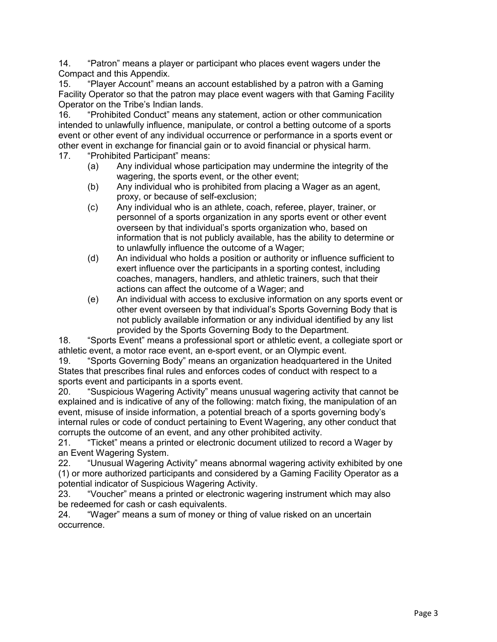14. "Patron" means a player or participant who places event wagers under the Compact and this Appendix.

15. "Player Account" means an account established by a patron with a Gaming Facility Operator so that the patron may place event wagers with that Gaming Facility Operator on the Tribe's Indian lands.

16. "Prohibited Conduct" means any statement, action or other communication intended to unlawfully influence, manipulate, or control a betting outcome of a sports event or other event of any individual occurrence or performance in a sports event or other event in exchange for financial gain or to avoid financial or physical harm.

- 17. "Prohibited Participant" means:
	- (a) Any individual whose participation may undermine the integrity of the wagering, the sports event, or the other event;
	- (b) Any individual who is prohibited from placing a Wager as an agent, proxy, or because of self-exclusion;
	- (c) Any individual who is an athlete, coach, referee, player, trainer, or personnel of a sports organization in any sports event or other event overseen by that individual's sports organization who, based on information that is not publicly available, has the ability to determine or to unlawfully influence the outcome of a Wager;
	- (d) An individual who holds a position or authority or influence sufficient to exert influence over the participants in a sporting contest, including coaches, managers, handlers, and athletic trainers, such that their actions can affect the outcome of a Wager; and
	- (e) An individual with access to exclusive information on any sports event or other event overseen by that individual's Sports Governing Body that is not publicly available information or any individual identified by any list provided by the Sports Governing Body to the Department.

18. "Sports Event" means a professional sport or athletic event, a collegiate sport or athletic event, a motor race event, an e-sport event, or an Olympic event.

19. "Sports Governing Body" means an organization headquartered in the United States that prescribes final rules and enforces codes of conduct with respect to a sports event and participants in a sports event.

20. "Suspicious Wagering Activity" means unusual wagering activity that cannot be explained and is indicative of any of the following: match fixing, the manipulation of an event, misuse of inside information, a potential breach of a sports governing body's internal rules or code of conduct pertaining to Event Wagering, any other conduct that corrupts the outcome of an event, and any other prohibited activity.

21. "Ticket" means a printed or electronic document utilized to record a Wager by an Event Wagering System.

22. "Unusual Wagering Activity" means abnormal wagering activity exhibited by one (1) or more authorized participants and considered by a Gaming Facility Operator as a potential indicator of Suspicious Wagering Activity.

23. "Voucher" means a printed or electronic wagering instrument which may also be redeemed for cash or cash equivalents.

24. "Wager" means a sum of money or thing of value risked on an uncertain occurrence.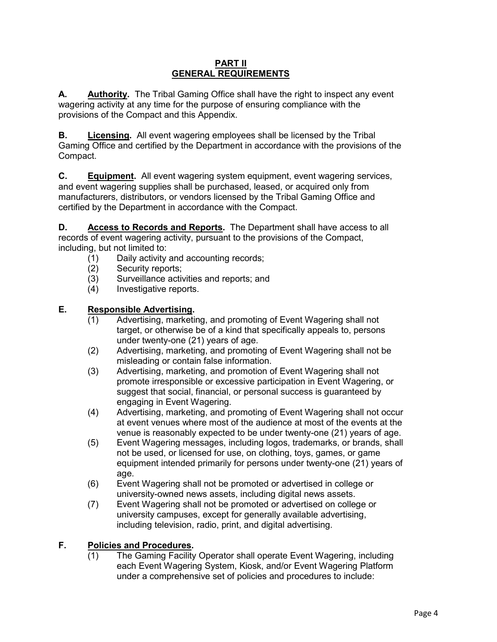#### **PART II GENERAL REQUIREMENTS**

**A. Authority.** The Tribal Gaming Office shall have the right to inspect any event wagering activity at any time for the purpose of ensuring compliance with the provisions of the Compact and this Appendix.

**B. Licensing.** All event wagering employees shall be licensed by the Tribal Gaming Office and certified by the Department in accordance with the provisions of the Compact.

**C. Equipment.** All event wagering system equipment, event wagering services, and event wagering supplies shall be purchased, leased, or acquired only from manufacturers, distributors, or vendors licensed by the Tribal Gaming Office and certified by the Department in accordance with the Compact.

**D. Access to Records and Reports.** The Department shall have access to all records of event wagering activity, pursuant to the provisions of the Compact, including, but not limited to:

- (1) Daily activity and accounting records;<br>(2) Security reports;
- Security reports:
- (3) Surveillance activities and reports; and
- (4) Investigative reports.

#### **E. Responsible Advertising.**

- (1) Advertising, marketing, and promoting of Event Wagering shall not target, or otherwise be of a kind that specifically appeals to, persons under twenty-one (21) years of age.
- (2) Advertising, marketing, and promoting of Event Wagering shall not be misleading or contain false information.
- (3) Advertising, marketing, and promotion of Event Wagering shall not promote irresponsible or excessive participation in Event Wagering, or suggest that social, financial, or personal success is guaranteed by engaging in Event Wagering.
- (4) Advertising, marketing, and promoting of Event Wagering shall not occur at event venues where most of the audience at most of the events at the venue is reasonably expected to be under twenty-one (21) years of age.
- (5) Event Wagering messages, including logos, trademarks, or brands, shall not be used, or licensed for use, on clothing, toys, games, or game equipment intended primarily for persons under twenty-one (21) years of age.
- (6) Event Wagering shall not be promoted or advertised in college or university-owned news assets, including digital news assets.
- (7) Event Wagering shall not be promoted or advertised on college or university campuses, except for generally available advertising, including television, radio, print, and digital advertising.

## **F. Policies and Procedures.**

(1) The Gaming Facility Operator shall operate Event Wagering, including each Event Wagering System, Kiosk, and/or Event Wagering Platform under a comprehensive set of policies and procedures to include: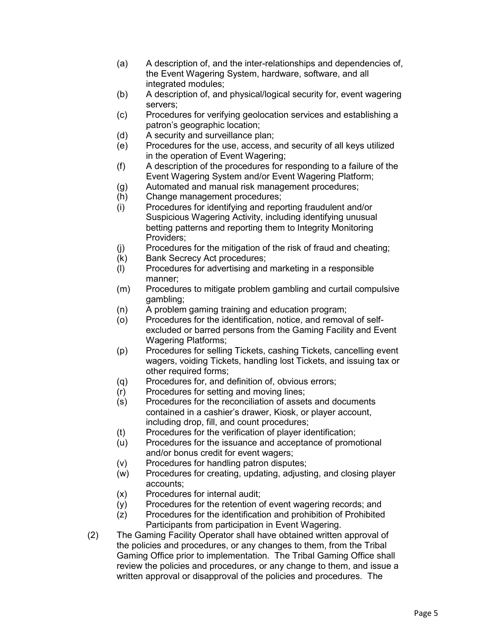- (a) A description of, and the inter-relationships and dependencies of, the Event Wagering System, hardware, software, and all integrated modules;
- (b) A description of, and physical/logical security for, event wagering servers;
- (c) Procedures for verifying geolocation services and establishing a patron's geographic location;
- (d) A security and surveillance plan;
- (e) Procedures for the use, access, and security of all keys utilized in the operation of Event Wagering;
- (f) A description of the procedures for responding to a failure of the Event Wagering System and/or Event Wagering Platform;
- (g) Automated and manual risk management procedures;
- (h) Change management procedures;
- (i) Procedures for identifying and reporting fraudulent and/or Suspicious Wagering Activity, including identifying unusual betting patterns and reporting them to Integrity Monitoring Providers;
- (j) Procedures for the mitigation of the risk of fraud and cheating;
- (k) Bank Secrecy Act procedures;
- (l) Procedures for advertising and marketing in a responsible manner;
- (m) Procedures to mitigate problem gambling and curtail compulsive gambling;
- (n) A problem gaming training and education program;
- (o) Procedures for the identification, notice, and removal of selfexcluded or barred persons from the Gaming Facility and Event Wagering Platforms;
- (p) Procedures for selling Tickets, cashing Tickets, cancelling event wagers, voiding Tickets, handling lost Tickets, and issuing tax or other required forms;
- (q) Procedures for, and definition of, obvious errors;
- (r) Procedures for setting and moving lines;
- (s) Procedures for the reconciliation of assets and documents contained in a cashier's drawer, Kiosk, or player account, including drop, fill, and count procedures;
- (t) Procedures for the verification of player identification;
- (u) Procedures for the issuance and acceptance of promotional and/or bonus credit for event wagers;
- (v) Procedures for handling patron disputes;
- (w) Procedures for creating, updating, adjusting, and closing player accounts;
- (x) Procedures for internal audit;
- (y) Procedures for the retention of event wagering records; and
- (z) Procedures for the identification and prohibition of Prohibited Participants from participation in Event Wagering.
- (2) The Gaming Facility Operator shall have obtained written approval of the policies and procedures, or any changes to them, from the Tribal Gaming Office prior to implementation. The Tribal Gaming Office shall review the policies and procedures, or any change to them, and issue a written approval or disapproval of the policies and procedures. The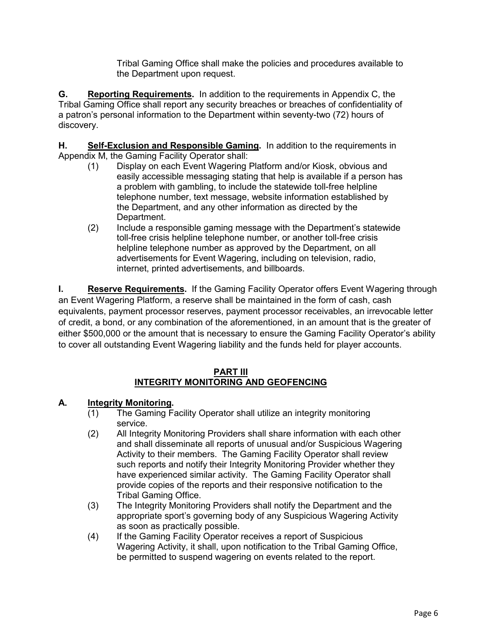Tribal Gaming Office shall make the policies and procedures available to the Department upon request.

**G. Reporting Requirements.** In addition to the requirements in Appendix C, the Tribal Gaming Office shall report any security breaches or breaches of confidentiality of a patron's personal information to the Department within seventy-two (72) hours of discovery.

**H. Self-Exclusion and Responsible Gaming.** In addition to the requirements in Appendix M, the Gaming Facility Operator shall:

- (1) Display on each Event Wagering Platform and/or Kiosk, obvious and easily accessible messaging stating that help is available if a person has a problem with gambling, to include the statewide toll-free helpline telephone number, text message, website information established by the Department, and any other information as directed by the Department.
- (2) Include a responsible gaming message with the Department's statewide toll-free crisis helpline telephone number, or another toll-free crisis helpline telephone number as approved by the Department, on all advertisements for Event Wagering, including on television, radio, internet, printed advertisements, and billboards.

**I. Reserve Requirements.** If the Gaming Facility Operator offers Event Wagering through an Event Wagering Platform, a reserve shall be maintained in the form of cash, cash equivalents, payment processor reserves, payment processor receivables, an irrevocable letter of credit, a bond, or any combination of the aforementioned, in an amount that is the greater of either \$500,000 or the amount that is necessary to ensure the Gaming Facility Operator's ability to cover all outstanding Event Wagering liability and the funds held for player accounts.

#### **PART III INTEGRITY MONITORING AND GEOFENCING**

## **A. Integrity Monitoring.**

- (1) The Gaming Facility Operator shall utilize an integrity monitoring service.
- (2) All Integrity Monitoring Providers shall share information with each other and shall disseminate all reports of unusual and/or Suspicious Wagering Activity to their members. The Gaming Facility Operator shall review such reports and notify their Integrity Monitoring Provider whether they have experienced similar activity. The Gaming Facility Operator shall provide copies of the reports and their responsive notification to the Tribal Gaming Office.
- (3) The Integrity Monitoring Providers shall notify the Department and the appropriate sport's governing body of any Suspicious Wagering Activity as soon as practically possible.
- (4) If the Gaming Facility Operator receives a report of Suspicious Wagering Activity, it shall, upon notification to the Tribal Gaming Office, be permitted to suspend wagering on events related to the report.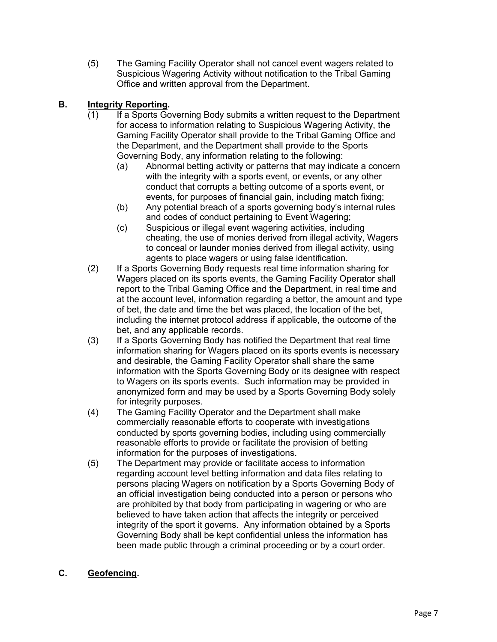(5) The Gaming Facility Operator shall not cancel event wagers related to Suspicious Wagering Activity without notification to the Tribal Gaming Office and written approval from the Department.

## **B. Integrity Reporting.**

- (1) If a Sports Governing Body submits a written request to the Department for access to information relating to Suspicious Wagering Activity, the Gaming Facility Operator shall provide to the Tribal Gaming Office and the Department, and the Department shall provide to the Sports Governing Body, any information relating to the following:
	- (a) Abnormal betting activity or patterns that may indicate a concern with the integrity with a sports event, or events, or any other conduct that corrupts a betting outcome of a sports event, or events, for purposes of financial gain, including match fixing;
	- (b) Any potential breach of a sports governing body's internal rules and codes of conduct pertaining to Event Wagering;
	- (c) Suspicious or illegal event wagering activities, including cheating, the use of monies derived from illegal activity, Wagers to conceal or launder monies derived from illegal activity, using agents to place wagers or using false identification.
- (2) If a Sports Governing Body requests real time information sharing for Wagers placed on its sports events, the Gaming Facility Operator shall report to the Tribal Gaming Office and the Department, in real time and at the account level, information regarding a bettor, the amount and type of bet, the date and time the bet was placed, the location of the bet, including the internet protocol address if applicable, the outcome of the bet, and any applicable records.
- (3) If a Sports Governing Body has notified the Department that real time information sharing for Wagers placed on its sports events is necessary and desirable, the Gaming Facility Operator shall share the same information with the Sports Governing Body or its designee with respect to Wagers on its sports events. Such information may be provided in anonymized form and may be used by a Sports Governing Body solely for integrity purposes.
- (4) The Gaming Facility Operator and the Department shall make commercially reasonable efforts to cooperate with investigations conducted by sports governing bodies, including using commercially reasonable efforts to provide or facilitate the provision of betting information for the purposes of investigations.
- (5) The Department may provide or facilitate access to information regarding account level betting information and data files relating to persons placing Wagers on notification by a Sports Governing Body of an official investigation being conducted into a person or persons who are prohibited by that body from participating in wagering or who are believed to have taken action that affects the integrity or perceived integrity of the sport it governs. Any information obtained by a Sports Governing Body shall be kept confidential unless the information has been made public through a criminal proceeding or by a court order.

## **C. Geofencing.**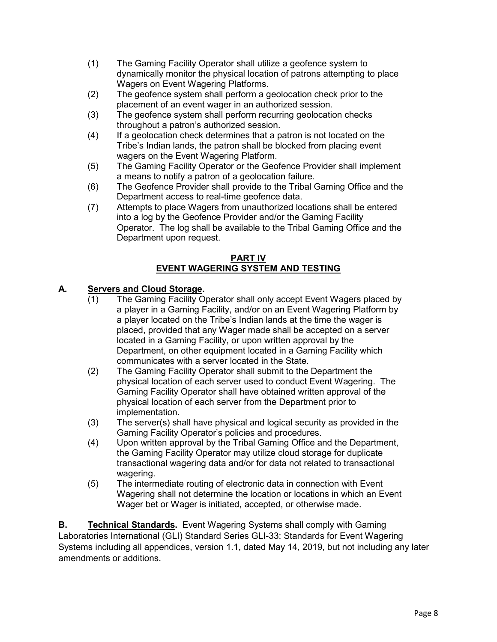- (1) The Gaming Facility Operator shall utilize a geofence system to dynamically monitor the physical location of patrons attempting to place Wagers on Event Wagering Platforms.
- (2) The geofence system shall perform a geolocation check prior to the placement of an event wager in an authorized session.
- (3) The geofence system shall perform recurring geolocation checks throughout a patron's authorized session.
- (4) If a geolocation check determines that a patron is not located on the Tribe's Indian lands, the patron shall be blocked from placing event wagers on the Event Wagering Platform.
- (5) The Gaming Facility Operator or the Geofence Provider shall implement a means to notify a patron of a geolocation failure.
- (6) The Geofence Provider shall provide to the Tribal Gaming Office and the Department access to real-time geofence data.
- (7) Attempts to place Wagers from unauthorized locations shall be entered into a log by the Geofence Provider and/or the Gaming Facility Operator. The log shall be available to the Tribal Gaming Office and the Department upon request.

#### **PART IV EVENT WAGERING SYSTEM AND TESTING**

## **A. Servers and Cloud Storage.**

- (1) The Gaming Facility Operator shall only accept Event Wagers placed by a player in a Gaming Facility, and/or on an Event Wagering Platform by a player located on the Tribe's Indian lands at the time the wager is placed, provided that any Wager made shall be accepted on a server located in a Gaming Facility, or upon written approval by the Department, on other equipment located in a Gaming Facility which communicates with a server located in the State.
- (2) The Gaming Facility Operator shall submit to the Department the physical location of each server used to conduct Event Wagering. The Gaming Facility Operator shall have obtained written approval of the physical location of each server from the Department prior to implementation.
- (3) The server(s) shall have physical and logical security as provided in the Gaming Facility Operator's policies and procedures.
- (4) Upon written approval by the Tribal Gaming Office and the Department, the Gaming Facility Operator may utilize cloud storage for duplicate transactional wagering data and/or for data not related to transactional wagering.
- (5) The intermediate routing of electronic data in connection with Event Wagering shall not determine the location or locations in which an Event Wager bet or Wager is initiated, accepted, or otherwise made.

**B. Technical Standards.** Event Wagering Systems shall comply with Gaming Laboratories International (GLI) Standard Series GLI-33: Standards for Event Wagering Systems including all appendices, version 1.1, dated May 14, 2019, but not including any later amendments or additions.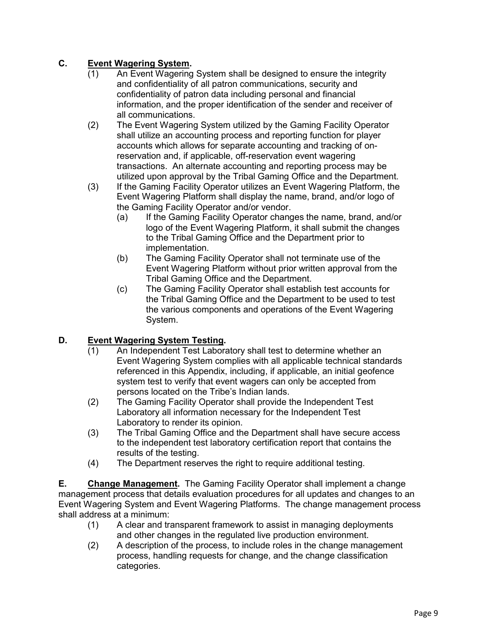# **C. Event Wagering System.**

- (1) An Event Wagering System shall be designed to ensure the integrity and confidentiality of all patron communications, security and confidentiality of patron data including personal and financial information, and the proper identification of the sender and receiver of all communications.
- (2) The Event Wagering System utilized by the Gaming Facility Operator shall utilize an accounting process and reporting function for player accounts which allows for separate accounting and tracking of onreservation and, if applicable, off-reservation event wagering transactions. An alternate accounting and reporting process may be utilized upon approval by the Tribal Gaming Office and the Department.
- (3) If the Gaming Facility Operator utilizes an Event Wagering Platform, the Event Wagering Platform shall display the name, brand, and/or logo of the Gaming Facility Operator and/or vendor.
	- (a) If the Gaming Facility Operator changes the name, brand, and/or logo of the Event Wagering Platform, it shall submit the changes to the Tribal Gaming Office and the Department prior to implementation.
	- (b) The Gaming Facility Operator shall not terminate use of the Event Wagering Platform without prior written approval from the Tribal Gaming Office and the Department.
	- (c) The Gaming Facility Operator shall establish test accounts for the Tribal Gaming Office and the Department to be used to test the various components and operations of the Event Wagering System.

## **D. Event Wagering System Testing.**

- (1) An Independent Test Laboratory shall test to determine whether an Event Wagering System complies with all applicable technical standards referenced in this Appendix, including, if applicable, an initial geofence system test to verify that event wagers can only be accepted from persons located on the Tribe's Indian lands.
- (2) The Gaming Facility Operator shall provide the Independent Test Laboratory all information necessary for the Independent Test Laboratory to render its opinion.
- (3) The Tribal Gaming Office and the Department shall have secure access to the independent test laboratory certification report that contains the results of the testing.
- (4) The Department reserves the right to require additional testing.

**E. Change Management.** The Gaming Facility Operator shall implement a change management process that details evaluation procedures for all updates and changes to an Event Wagering System and Event Wagering Platforms. The change management process shall address at a minimum:

- (1) A clear and transparent framework to assist in managing deployments and other changes in the regulated live production environment.
- (2) A description of the process, to include roles in the change management process, handling requests for change, and the change classification categories.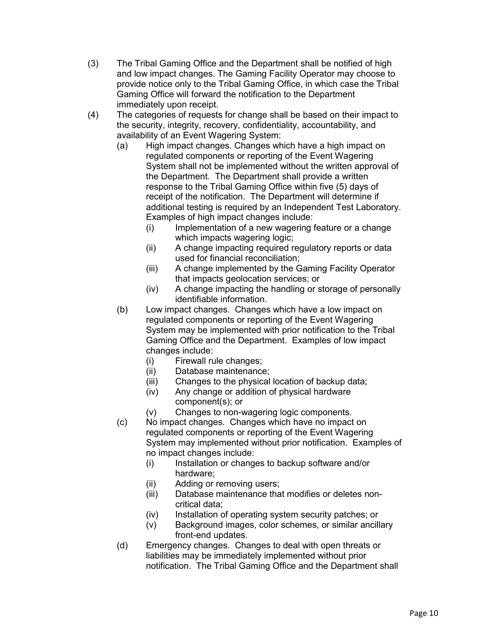- (3) The Tribal Gaming Office and the Department shall be notified of high and low impact changes. The Gaming Facility Operator may choose to provide notice only to the Tribal Gaming Office, in which case the Tribal Gaming Office will forward the notification to the Department immediately upon receipt.
- (4) The categories of requests for change shall be based on their impact to the security, integrity, recovery, confidentiality, accountability, and availability of an Event Wagering System:
	- (a) High impact changes. Changes which have a high impact on regulated components or reporting of the Event Wagering System shall not be implemented without the written approval of the Department. The Department shall provide a written response to the Tribal Gaming Office within five (5) days of receipt of the notification. The Department will determine if additional testing is required by an Independent Test Laboratory. Examples of high impact changes include:
		- (i) Implementation of a new wagering feature or a change which impacts wagering logic;
		- (ii) A change impacting required regulatory reports or data used for financial reconciliation;
		- (iii) A change implemented by the Gaming Facility Operator that impacts geolocation services; or
		- (iv) A change impacting the handling or storage of personally identifiable information.
	- (b) Low impact changes. Changes which have a low impact on regulated components or reporting of the Event Wagering System may be implemented with prior notification to the Tribal Gaming Office and the Department. Examples of low impact changes include:
		- (i) Firewall rule changes;
		- Database maintenance;
		- (iii) Changes to the physical location of backup data;
		- (iv) Any change or addition of physical hardware component(s); or
		- (v) Changes to non-wagering logic components.
	- (c) No impact changes. Changes which have no impact on regulated components or reporting of the Event Wagering System may implemented without prior notification. Examples of no impact changes include:
		- (i) Installation or changes to backup software and/or hardware;
		- (ii) Adding or removing users;
		- (iii) Database maintenance that modifies or deletes noncritical data;
		- (iv) Installation of operating system security patches; or
		- (v) Background images, color schemes, or similar ancillary front-end updates.
	- (d) Emergency changes. Changes to deal with open threats or liabilities may be immediately implemented without prior notification. The Tribal Gaming Office and the Department shall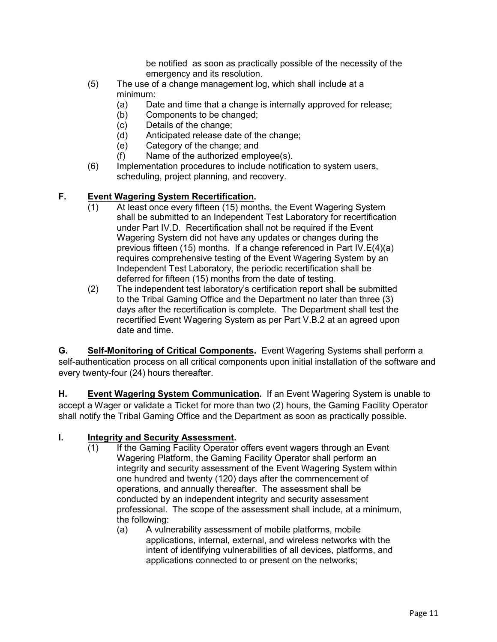be notified as soon as practically possible of the necessity of the emergency and its resolution.

- (5) The use of a change management log, which shall include at a minimum:
	- (a) Date and time that a change is internally approved for release;
	- (b) Components to be changed;
	- (c) Details of the change;
	- (d) Anticipated release date of the change;
	- (e) Category of the change; and
	- (f) Name of the authorized employee(s).
- (6) Implementation procedures to include notification to system users, scheduling, project planning, and recovery.

## **F. Event Wagering System Recertification.**

- (1) At least once every fifteen (15) months, the Event Wagering System shall be submitted to an Independent Test Laboratory for recertification under Part IV.D. Recertification shall not be required if the Event Wagering System did not have any updates or changes during the previous fifteen (15) months. If a change referenced in Part IV.E(4)(a) requires comprehensive testing of the Event Wagering System by an Independent Test Laboratory, the periodic recertification shall be deferred for fifteen (15) months from the date of testing.
- (2) The independent test laboratory's certification report shall be submitted to the Tribal Gaming Office and the Department no later than three (3) days after the recertification is complete. The Department shall test the recertified Event Wagering System as per Part V.B.2 at an agreed upon date and time.

**G. Self-Monitoring of Critical Components.** Event Wagering Systems shall perform a self-authentication process on all critical components upon initial installation of the software and every twenty-four (24) hours thereafter.

**H. Event Wagering System Communication.** If an Event Wagering System is unable to accept a Wager or validate a Ticket for more than two (2) hours, the Gaming Facility Operator shall notify the Tribal Gaming Office and the Department as soon as practically possible.

#### **I. Integrity and Security Assessment.**

- (1) If the Gaming Facility Operator offers event wagers through an Event Wagering Platform, the Gaming Facility Operator shall perform an integrity and security assessment of the Event Wagering System within one hundred and twenty (120) days after the commencement of operations, and annually thereafter. The assessment shall be conducted by an independent integrity and security assessment professional. The scope of the assessment shall include, at a minimum, the following:
	- (a) A vulnerability assessment of mobile platforms, mobile applications, internal, external, and wireless networks with the intent of identifying vulnerabilities of all devices, platforms, and applications connected to or present on the networks;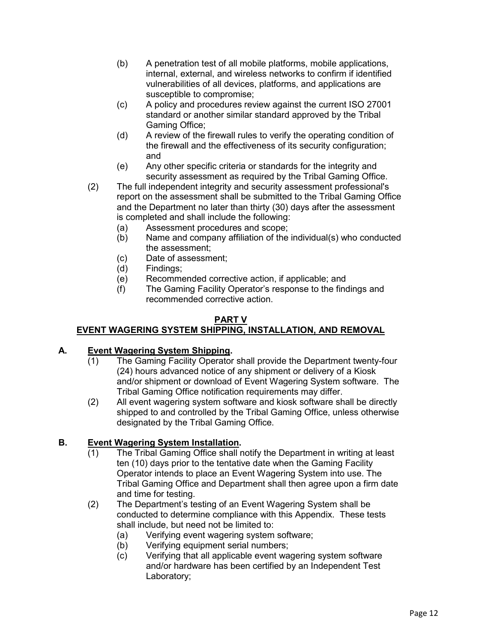- (b) A penetration test of all mobile platforms, mobile applications, internal, external, and wireless networks to confirm if identified vulnerabilities of all devices, platforms, and applications are susceptible to compromise;
- (c) A policy and procedures review against the current ISO 27001 standard or another similar standard approved by the Tribal Gaming Office;
- (d) A review of the firewall rules to verify the operating condition of the firewall and the effectiveness of its security configuration; and
- (e) Any other specific criteria or standards for the integrity and security assessment as required by the Tribal Gaming Office.
- (2) The full independent integrity and security assessment professional's report on the assessment shall be submitted to the Tribal Gaming Office and the Department no later than thirty (30) days after the assessment is completed and shall include the following:
	- (a) Assessment procedures and scope;
	- (b) Name and company affiliation of the individual(s) who conducted the assessment;
	- (c) Date of assessment;
	- (d) Findings;
	- (e) Recommended corrective action, if applicable; and
	- (f) The Gaming Facility Operator's response to the findings and recommended corrective action.

#### **PART V**

# **EVENT WAGERING SYSTEM SHIPPING, INSTALLATION, AND REMOVAL**

## **A. Event Wagering System Shipping.**

- (1) The Gaming Facility Operator shall provide the Department twenty-four (24) hours advanced notice of any shipment or delivery of a Kiosk and/or shipment or download of Event Wagering System software. The Tribal Gaming Office notification requirements may differ.
- (2) All event wagering system software and kiosk software shall be directly shipped to and controlled by the Tribal Gaming Office, unless otherwise designated by the Tribal Gaming Office.

## **B. Event Wagering System Installation.**

- (1) The Tribal Gaming Office shall notify the Department in writing at least ten (10) days prior to the tentative date when the Gaming Facility Operator intends to place an Event Wagering System into use. The Tribal Gaming Office and Department shall then agree upon a firm date and time for testing.
- (2) The Department's testing of an Event Wagering System shall be conducted to determine compliance with this Appendix. These tests shall include, but need not be limited to:
	- (a) Verifying event wagering system software;
	- (b) Verifying equipment serial numbers;
	- (c) Verifying that all applicable event wagering system software and/or hardware has been certified by an Independent Test Laboratory;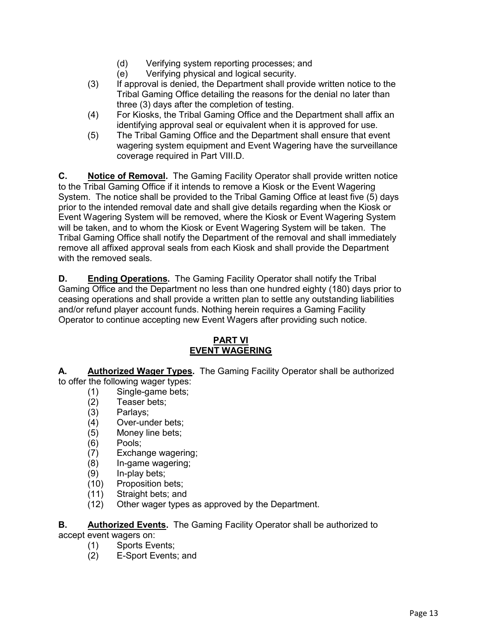- (d) Verifying system reporting processes; and
- (e) Verifying physical and logical security.
- (3) If approval is denied, the Department shall provide written notice to the Tribal Gaming Office detailing the reasons for the denial no later than three (3) days after the completion of testing.
- (4) For Kiosks, the Tribal Gaming Office and the Department shall affix an identifying approval seal or equivalent when it is approved for use.
- (5) The Tribal Gaming Office and the Department shall ensure that event wagering system equipment and Event Wagering have the surveillance coverage required in Part VIII.D.

**C. Notice of Removal.** The Gaming Facility Operator shall provide written notice to the Tribal Gaming Office if it intends to remove a Kiosk or the Event Wagering System. The notice shall be provided to the Tribal Gaming Office at least five (5) days prior to the intended removal date and shall give details regarding when the Kiosk or Event Wagering System will be removed, where the Kiosk or Event Wagering System will be taken, and to whom the Kiosk or Event Wagering System will be taken. The Tribal Gaming Office shall notify the Department of the removal and shall immediately remove all affixed approval seals from each Kiosk and shall provide the Department with the removed seals.

**D. Ending Operations.** The Gaming Facility Operator shall notify the Tribal Gaming Office and the Department no less than one hundred eighty (180) days prior to ceasing operations and shall provide a written plan to settle any outstanding liabilities and/or refund player account funds. Nothing herein requires a Gaming Facility Operator to continue accepting new Event Wagers after providing such notice.

## **PART VI EVENT WAGERING**

**A. Authorized Wager Types.** The Gaming Facility Operator shall be authorized to offer the following wager types:

- (1) Single-game bets;<br>(2) Teaser bets;
	- Teaser bets;
	- (3) Parlays;
	- (4) Over-under bets;
	- (5) Money line bets;
	- (6) Pools;
	- Exchange wagering;
	- (8) In-game wagering;
	- (9) In-play bets;
	- (10) Proposition bets;
	- (11) Straight bets; and
- (12) Other wager types as approved by the Department.

**B. Authorized Events.** The Gaming Facility Operator shall be authorized to accept event wagers on:

- (1) Sports Events;
- (2) E-Sport Events; and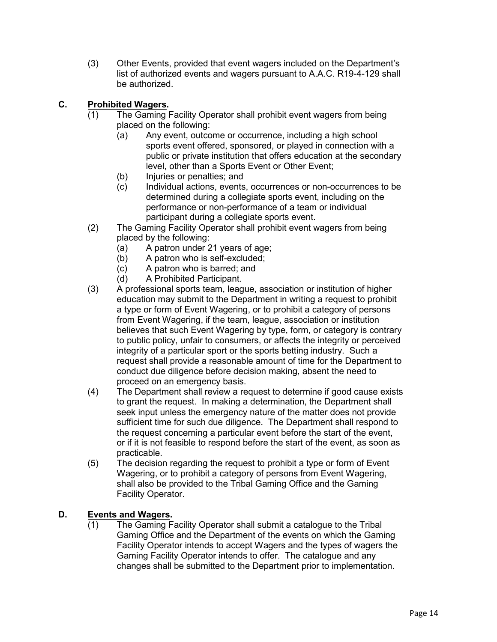(3) Other Events, provided that event wagers included on the Department's list of authorized events and wagers pursuant to A.A.C. R19-4-129 shall be authorized.

## **C. Prohibited Wagers.**

- (1) The Gaming Facility Operator shall prohibit event wagers from being placed on the following:
	- (a) Any event, outcome or occurrence, including a high school sports event offered, sponsored, or played in connection with a public or private institution that offers education at the secondary level, other than a Sports Event or Other Event;
	- (b) Injuries or penalties; and
	- (c) Individual actions, events, occurrences or non-occurrences to be determined during a collegiate sports event, including on the performance or non-performance of a team or individual participant during a collegiate sports event.
- (2) The Gaming Facility Operator shall prohibit event wagers from being placed by the following:
	- (a) A patron under 21 years of age;
	- (b) A patron who is self-excluded;
	- (c) A patron who is barred; and
	- (d) A Prohibited Participant.
- (3) A professional sports team, league, association or institution of higher education may submit to the Department in writing a request to prohibit a type or form of Event Wagering, or to prohibit a category of persons from Event Wagering, if the team, league, association or institution believes that such Event Wagering by type, form, or category is contrary to public policy, unfair to consumers, or affects the integrity or perceived integrity of a particular sport or the sports betting industry. Such a request shall provide a reasonable amount of time for the Department to conduct due diligence before decision making, absent the need to proceed on an emergency basis.
- (4) The Department shall review a request to determine if good cause exists to grant the request. In making a determination, the Department shall seek input unless the emergency nature of the matter does not provide sufficient time for such due diligence. The Department shall respond to the request concerning a particular event before the start of the event, or if it is not feasible to respond before the start of the event, as soon as practicable.
- (5) The decision regarding the request to prohibit a type or form of Event Wagering, or to prohibit a category of persons from Event Wagering, shall also be provided to the Tribal Gaming Office and the Gaming Facility Operator.

## **D. Events and Wagers.**

(1) The Gaming Facility Operator shall submit a catalogue to the Tribal Gaming Office and the Department of the events on which the Gaming Facility Operator intends to accept Wagers and the types of wagers the Gaming Facility Operator intends to offer. The catalogue and any changes shall be submitted to the Department prior to implementation.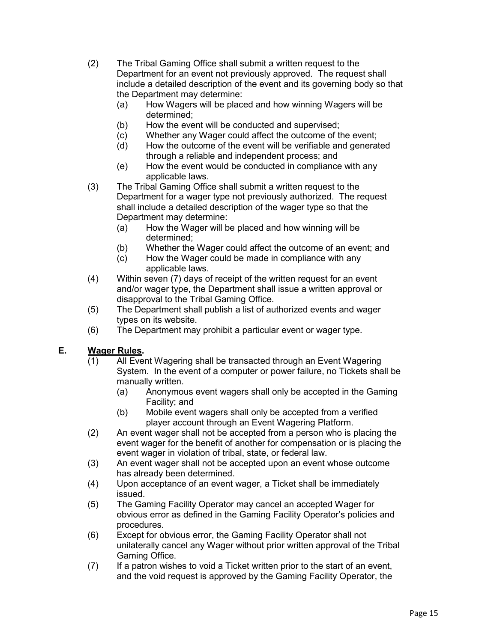- (2) The Tribal Gaming Office shall submit a written request to the Department for an event not previously approved. The request shall include a detailed description of the event and its governing body so that the Department may determine:
	- (a) How Wagers will be placed and how winning Wagers will be determined;
	- (b) How the event will be conducted and supervised;
	- (c) Whether any Wager could affect the outcome of the event;
	- (d) How the outcome of the event will be verifiable and generated through a reliable and independent process; and
	- (e) How the event would be conducted in compliance with any applicable laws.
- (3) The Tribal Gaming Office shall submit a written request to the Department for a wager type not previously authorized. The request shall include a detailed description of the wager type so that the Department may determine:
	- (a) How the Wager will be placed and how winning will be determined;
	- (b) Whether the Wager could affect the outcome of an event; and
	- (c) How the Wager could be made in compliance with any applicable laws.
- (4) Within seven (7) days of receipt of the written request for an event and/or wager type, the Department shall issue a written approval or disapproval to the Tribal Gaming Office.
- (5) The Department shall publish a list of authorized events and wager types on its website.
- (6) The Department may prohibit a particular event or wager type.

## **E. Wager Rules.**

- (1) All Event Wagering shall be transacted through an Event Wagering System. In the event of a computer or power failure, no Tickets shall be manually written.
	- (a) Anonymous event wagers shall only be accepted in the Gaming Facility; and
	- (b) Mobile event wagers shall only be accepted from a verified player account through an Event Wagering Platform.
- (2) An event wager shall not be accepted from a person who is placing the event wager for the benefit of another for compensation or is placing the event wager in violation of tribal, state, or federal law.
- (3) An event wager shall not be accepted upon an event whose outcome has already been determined.
- (4) Upon acceptance of an event wager, a Ticket shall be immediately issued.
- (5) The Gaming Facility Operator may cancel an accepted Wager for obvious error as defined in the Gaming Facility Operator's policies and procedures.
- (6) Except for obvious error, the Gaming Facility Operator shall not unilaterally cancel any Wager without prior written approval of the Tribal Gaming Office.
- (7) If a patron wishes to void a Ticket written prior to the start of an event, and the void request is approved by the Gaming Facility Operator, the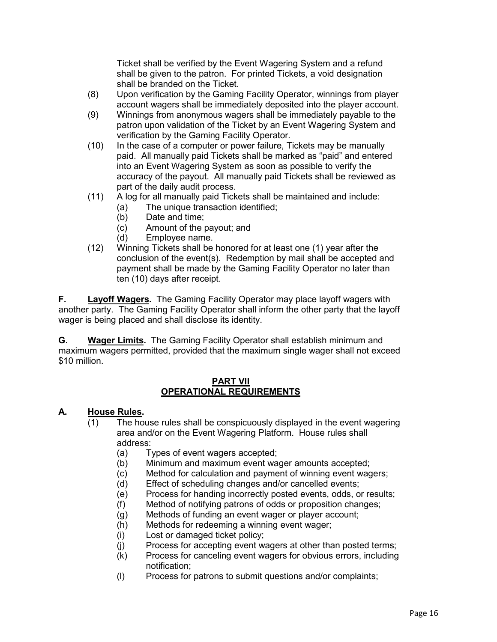Ticket shall be verified by the Event Wagering System and a refund shall be given to the patron. For printed Tickets, a void designation shall be branded on the Ticket.

- (8) Upon verification by the Gaming Facility Operator, winnings from player account wagers shall be immediately deposited into the player account.
- (9) Winnings from anonymous wagers shall be immediately payable to the patron upon validation of the Ticket by an Event Wagering System and verification by the Gaming Facility Operator.
- (10) In the case of a computer or power failure, Tickets may be manually paid. All manually paid Tickets shall be marked as "paid" and entered into an Event Wagering System as soon as possible to verify the accuracy of the payout. All manually paid Tickets shall be reviewed as part of the daily audit process.
- (11) A log for all manually paid Tickets shall be maintained and include:
	- (a) The unique transaction identified;
	- (b) Date and time;<br>(c) Amount of the  $\mu$
	- Amount of the payout; and
	- (d) Employee name.
- (12) Winning Tickets shall be honored for at least one (1) year after the conclusion of the event(s). Redemption by mail shall be accepted and payment shall be made by the Gaming Facility Operator no later than ten (10) days after receipt.

**F. Layoff Wagers.** The Gaming Facility Operator may place layoff wagers with another party. The Gaming Facility Operator shall inform the other party that the layoff wager is being placed and shall disclose its identity.

**G. Wager Limits.** The Gaming Facility Operator shall establish minimum and maximum wagers permitted, provided that the maximum single wager shall not exceed \$10 million.

#### **PART VII OPERATIONAL REQUIREMENTS**

#### **A. House Rules.**

- (1) The house rules shall be conspicuously displayed in the event wagering area and/or on the Event Wagering Platform. House rules shall address:
	- (a) Types of event wagers accepted;
	- (b) Minimum and maximum event wager amounts accepted;
	- (c) Method for calculation and payment of winning event wagers;
	- (d) Effect of scheduling changes and/or cancelled events;
	- (e) Process for handing incorrectly posted events, odds, or results;
	- (f) Method of notifying patrons of odds or proposition changes;
	- (g) Methods of funding an event wager or player account;
	- (h) Methods for redeeming a winning event wager;
	- (i) Lost or damaged ticket policy;
	- (j) Process for accepting event wagers at other than posted terms;
	- (k) Process for canceling event wagers for obvious errors, including notification;
	- (l) Process for patrons to submit questions and/or complaints;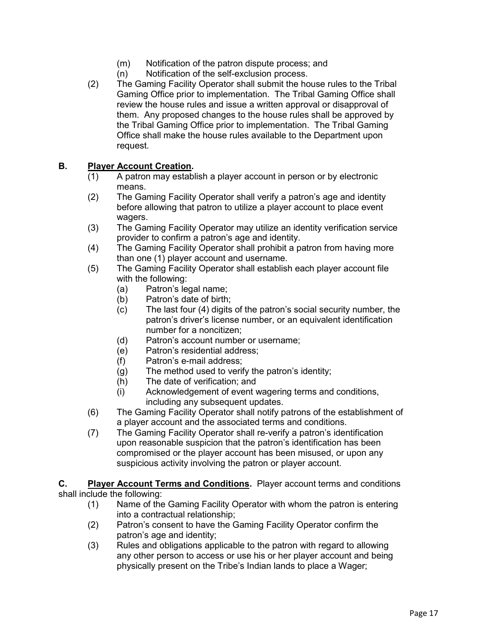- (m) Notification of the patron dispute process; and
- (n) Notification of the self-exclusion process.
- (2) The Gaming Facility Operator shall submit the house rules to the Tribal Gaming Office prior to implementation. The Tribal Gaming Office shall review the house rules and issue a written approval or disapproval of them. Any proposed changes to the house rules shall be approved by the Tribal Gaming Office prior to implementation. The Tribal Gaming Office shall make the house rules available to the Department upon request.

#### **B. Player Account Creation.**

- (1) A patron may establish a player account in person or by electronic means.
- (2) The Gaming Facility Operator shall verify a patron's age and identity before allowing that patron to utilize a player account to place event wagers.
- (3) The Gaming Facility Operator may utilize an identity verification service provider to confirm a patron's age and identity.
- (4) The Gaming Facility Operator shall prohibit a patron from having more than one (1) player account and username.
- (5) The Gaming Facility Operator shall establish each player account file with the following:
	- (a) Patron's legal name;
	- (b) Patron's date of birth;
	- (c) The last four (4) digits of the patron's social security number, the patron's driver's license number, or an equivalent identification number for a noncitizen;
	- (d) Patron's account number or username;
	- (e) Patron's residential address;
	- (f) Patron's e-mail address;
	- (g) The method used to verify the patron's identity;
	- (h) The date of verification; and
	- (i) Acknowledgement of event wagering terms and conditions, including any subsequent updates.
- (6) The Gaming Facility Operator shall notify patrons of the establishment of a player account and the associated terms and conditions.
- (7) The Gaming Facility Operator shall re-verify a patron's identification upon reasonable suspicion that the patron's identification has been compromised or the player account has been misused, or upon any suspicious activity involving the patron or player account.

**C. Player Account Terms and Conditions.** Player account terms and conditions shall include the following:

- (1) Name of the Gaming Facility Operator with whom the patron is entering into a contractual relationship;
- (2) Patron's consent to have the Gaming Facility Operator confirm the patron's age and identity;
- (3) Rules and obligations applicable to the patron with regard to allowing any other person to access or use his or her player account and being physically present on the Tribe's Indian lands to place a Wager;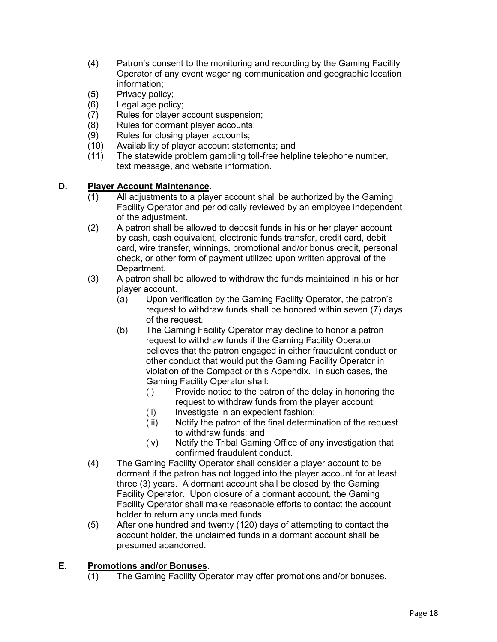- (4) Patron's consent to the monitoring and recording by the Gaming Facility Operator of any event wagering communication and geographic location information;
- (5) Privacy policy;
- (6) Legal age policy;
- (7) Rules for player account suspension;
- (8) Rules for dormant player accounts;
- (9) Rules for closing player accounts;
- (10) Availability of player account statements; and
- (11) The statewide problem gambling toll-free helpline telephone number, text message, and website information.

#### **D. Player Account Maintenance.**

- (1) All adjustments to a player account shall be authorized by the Gaming Facility Operator and periodically reviewed by an employee independent of the adjustment.
- (2) A patron shall be allowed to deposit funds in his or her player account by cash, cash equivalent, electronic funds transfer, credit card, debit card, wire transfer, winnings, promotional and/or bonus credit, personal check, or other form of payment utilized upon written approval of the Department.
- (3) A patron shall be allowed to withdraw the funds maintained in his or her player account.
	- (a) Upon verification by the Gaming Facility Operator, the patron's request to withdraw funds shall be honored within seven (7) days of the request.
	- (b) The Gaming Facility Operator may decline to honor a patron request to withdraw funds if the Gaming Facility Operator believes that the patron engaged in either fraudulent conduct or other conduct that would put the Gaming Facility Operator in violation of the Compact or this Appendix. In such cases, the Gaming Facility Operator shall:
		- (i) Provide notice to the patron of the delay in honoring the request to withdraw funds from the player account;
		- (ii) Investigate in an expedient fashion;
		- (iii) Notify the patron of the final determination of the request to withdraw funds; and
		- (iv) Notify the Tribal Gaming Office of any investigation that confirmed fraudulent conduct.
- (4) The Gaming Facility Operator shall consider a player account to be dormant if the patron has not logged into the player account for at least three (3) years. A dormant account shall be closed by the Gaming Facility Operator. Upon closure of a dormant account, the Gaming Facility Operator shall make reasonable efforts to contact the account holder to return any unclaimed funds.
- (5) After one hundred and twenty (120) days of attempting to contact the account holder, the unclaimed funds in a dormant account shall be presumed abandoned.

## **E. Promotions and/or Bonuses.**

(1) The Gaming Facility Operator may offer promotions and/or bonuses.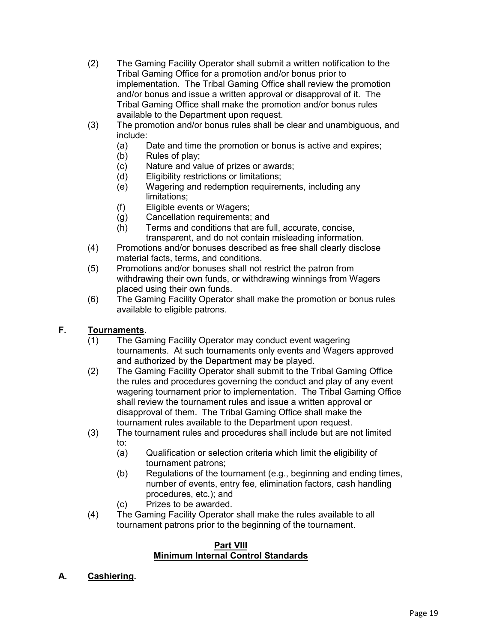- (2) The Gaming Facility Operator shall submit a written notification to the Tribal Gaming Office for a promotion and/or bonus prior to implementation. The Tribal Gaming Office shall review the promotion and/or bonus and issue a written approval or disapproval of it. The Tribal Gaming Office shall make the promotion and/or bonus rules available to the Department upon request.
- (3) The promotion and/or bonus rules shall be clear and unambiguous, and include:
	- (a) Date and time the promotion or bonus is active and expires;
	- (b) Rules of play;
	- (c) Nature and value of prizes or awards;
	- (d) Eligibility restrictions or limitations;
	- (e) Wagering and redemption requirements, including any limitations;
	- (f) Eligible events or Wagers;
	- (g) Cancellation requirements; and
	- (h) Terms and conditions that are full, accurate, concise, transparent, and do not contain misleading information.
- (4) Promotions and/or bonuses described as free shall clearly disclose material facts, terms, and conditions.
- (5) Promotions and/or bonuses shall not restrict the patron from withdrawing their own funds, or withdrawing winnings from Wagers placed using their own funds.
- (6) The Gaming Facility Operator shall make the promotion or bonus rules available to eligible patrons.

## **F. Tournaments.**

- (1) The Gaming Facility Operator may conduct event wagering tournaments. At such tournaments only events and Wagers approved and authorized by the Department may be played.
- (2) The Gaming Facility Operator shall submit to the Tribal Gaming Office the rules and procedures governing the conduct and play of any event wagering tournament prior to implementation. The Tribal Gaming Office shall review the tournament rules and issue a written approval or disapproval of them. The Tribal Gaming Office shall make the tournament rules available to the Department upon request.
- (3) The tournament rules and procedures shall include but are not limited to:
	- (a) Qualification or selection criteria which limit the eligibility of tournament patrons;
	- (b) Regulations of the tournament (e.g., beginning and ending times, number of events, entry fee, elimination factors, cash handling procedures, etc.); and
	- (c) Prizes to be awarded.
- (4) The Gaming Facility Operator shall make the rules available to all tournament patrons prior to the beginning of the tournament.

#### **Part VIII Minimum Internal Control Standards**

**A. Cashiering.**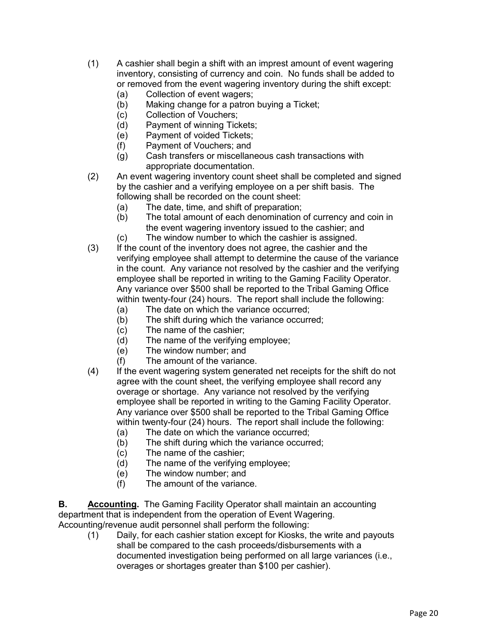- (1) A cashier shall begin a shift with an imprest amount of event wagering inventory, consisting of currency and coin. No funds shall be added to or removed from the event wagering inventory during the shift except:
	- (a) Collection of event wagers;
	- (b) Making change for a patron buying a Ticket;
	-
	- (c) Collection of Vouchers;<br>(d) Payment of winning Ticl Payment of winning Tickets;
	- (e) Payment of voided Tickets;
	- (f) Payment of Vouchers; and
	- (g) Cash transfers or miscellaneous cash transactions with appropriate documentation.
- (2) An event wagering inventory count sheet shall be completed and signed by the cashier and a verifying employee on a per shift basis. The following shall be recorded on the count sheet:
	- (a) The date, time, and shift of preparation;
	- (b) The total amount of each denomination of currency and coin in the event wagering inventory issued to the cashier; and
	- (c) The window number to which the cashier is assigned.
- (3) If the count of the inventory does not agree, the cashier and the verifying employee shall attempt to determine the cause of the variance in the count. Any variance not resolved by the cashier and the verifying employee shall be reported in writing to the Gaming Facility Operator. Any variance over \$500 shall be reported to the Tribal Gaming Office within twenty-four (24) hours. The report shall include the following:
	- (a) The date on which the variance occurred;
	- (b) The shift during which the variance occurred;
	- (c) The name of the cashier;
	- (d) The name of the verifying employee;
	- (e) The window number; and
	- (f) The amount of the variance.
- (4) If the event wagering system generated net receipts for the shift do not agree with the count sheet, the verifying employee shall record any overage or shortage. Any variance not resolved by the verifying employee shall be reported in writing to the Gaming Facility Operator. Any variance over \$500 shall be reported to the Tribal Gaming Office within twenty-four (24) hours. The report shall include the following:
	- (a) The date on which the variance occurred;
	- (b) The shift during which the variance occurred;
	- (c) The name of the cashier;
	- (d) The name of the verifying employee;
	- (e) The window number; and
	- (f) The amount of the variance.

**B. Accounting.** The Gaming Facility Operator shall maintain an accounting department that is independent from the operation of Event Wagering. Accounting/revenue audit personnel shall perform the following:

(1) Daily, for each cashier station except for Kiosks, the write and payouts shall be compared to the cash proceeds/disbursements with a documented investigation being performed on all large variances (i.e., overages or shortages greater than \$100 per cashier).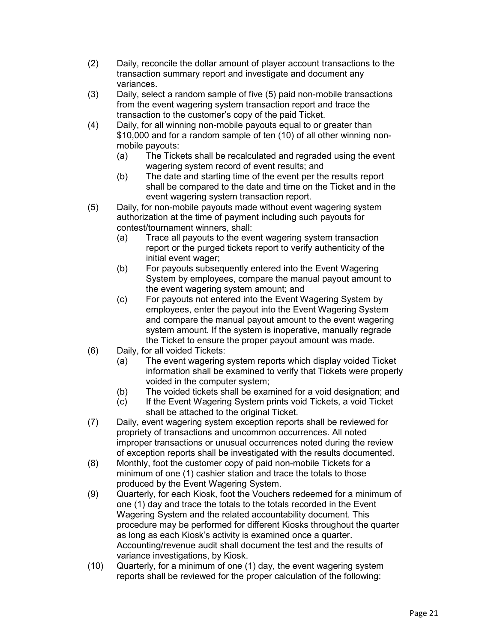- (2) Daily, reconcile the dollar amount of player account transactions to the transaction summary report and investigate and document any variances.
- (3) Daily, select a random sample of five (5) paid non-mobile transactions from the event wagering system transaction report and trace the transaction to the customer's copy of the paid Ticket.
- (4) Daily, for all winning non-mobile payouts equal to or greater than \$10,000 and for a random sample of ten (10) of all other winning nonmobile payouts:
	- (a) The Tickets shall be recalculated and regraded using the event wagering system record of event results; and
	- (b) The date and starting time of the event per the results report shall be compared to the date and time on the Ticket and in the event wagering system transaction report.
- (5) Daily, for non-mobile payouts made without event wagering system authorization at the time of payment including such payouts for contest/tournament winners, shall:
	- (a) Trace all payouts to the event wagering system transaction report or the purged tickets report to verify authenticity of the initial event wager;
	- (b) For payouts subsequently entered into the Event Wagering System by employees, compare the manual payout amount to the event wagering system amount; and
	- (c) For payouts not entered into the Event Wagering System by employees, enter the payout into the Event Wagering System and compare the manual payout amount to the event wagering system amount. If the system is inoperative, manually regrade the Ticket to ensure the proper payout amount was made.
- (6) Daily, for all voided Tickets:
	- (a) The event wagering system reports which display voided Ticket information shall be examined to verify that Tickets were properly voided in the computer system;
	- (b) The voided tickets shall be examined for a void designation; and
	- (c) If the Event Wagering System prints void Tickets, a void Ticket shall be attached to the original Ticket.
- (7) Daily, event wagering system exception reports shall be reviewed for propriety of transactions and uncommon occurrences. All noted improper transactions or unusual occurrences noted during the review of exception reports shall be investigated with the results documented.
- (8) Monthly, foot the customer copy of paid non-mobile Tickets for a minimum of one (1) cashier station and trace the totals to those produced by the Event Wagering System.
- (9) Quarterly, for each Kiosk, foot the Vouchers redeemed for a minimum of one (1) day and trace the totals to the totals recorded in the Event Wagering System and the related accountability document. This procedure may be performed for different Kiosks throughout the quarter as long as each Kiosk's activity is examined once a quarter. Accounting/revenue audit shall document the test and the results of variance investigations, by Kiosk.
- (10) Quarterly, for a minimum of one (1) day, the event wagering system reports shall be reviewed for the proper calculation of the following: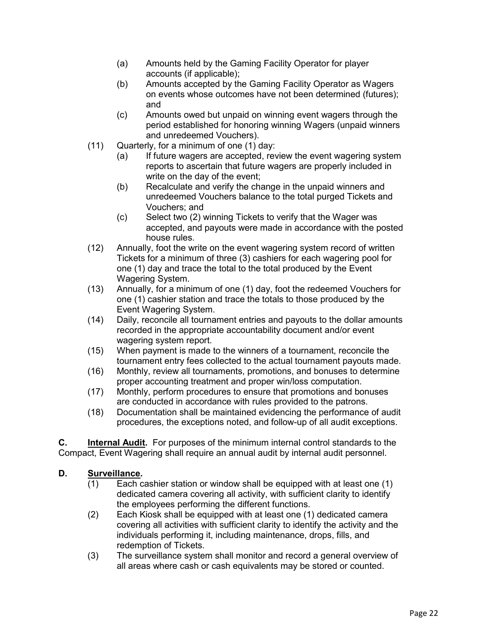- (a) Amounts held by the Gaming Facility Operator for player accounts (if applicable);
- (b) Amounts accepted by the Gaming Facility Operator as Wagers on events whose outcomes have not been determined (futures); and
- (c) Amounts owed but unpaid on winning event wagers through the period established for honoring winning Wagers (unpaid winners and unredeemed Vouchers).
- (11) Quarterly, for a minimum of one (1) day:
	- (a) If future wagers are accepted, review the event wagering system reports to ascertain that future wagers are properly included in write on the day of the event;
	- (b) Recalculate and verify the change in the unpaid winners and unredeemed Vouchers balance to the total purged Tickets and Vouchers; and
	- (c) Select two (2) winning Tickets to verify that the Wager was accepted, and payouts were made in accordance with the posted house rules.
- (12) Annually, foot the write on the event wagering system record of written Tickets for a minimum of three (3) cashiers for each wagering pool for one (1) day and trace the total to the total produced by the Event Wagering System.
- (13) Annually, for a minimum of one (1) day, foot the redeemed Vouchers for one (1) cashier station and trace the totals to those produced by the Event Wagering System.
- (14) Daily, reconcile all tournament entries and payouts to the dollar amounts recorded in the appropriate accountability document and/or event wagering system report.
- (15) When payment is made to the winners of a tournament, reconcile the tournament entry fees collected to the actual tournament payouts made.
- (16) Monthly, review all tournaments, promotions, and bonuses to determine proper accounting treatment and proper win/loss computation.
- (17) Monthly, perform procedures to ensure that promotions and bonuses are conducted in accordance with rules provided to the patrons.
- (18) Documentation shall be maintained evidencing the performance of audit procedures, the exceptions noted, and follow-up of all audit exceptions.

**C. Internal Audit.** For purposes of the minimum internal control standards to the Compact, Event Wagering shall require an annual audit by internal audit personnel.

#### **D. Surveillance.**

- (1) Each cashier station or window shall be equipped with at least one (1) dedicated camera covering all activity, with sufficient clarity to identify the employees performing the different functions.
- (2) Each Kiosk shall be equipped with at least one (1) dedicated camera covering all activities with sufficient clarity to identify the activity and the individuals performing it, including maintenance, drops, fills, and redemption of Tickets.
- (3) The surveillance system shall monitor and record a general overview of all areas where cash or cash equivalents may be stored or counted.